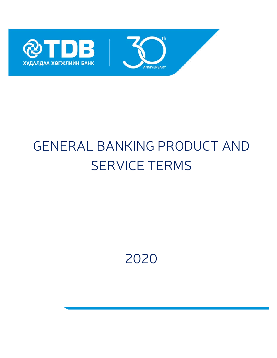



# GENERAL BANKING PRODUCT AND SERVICE TERMS

2020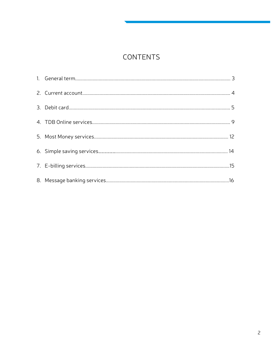# CONTENTS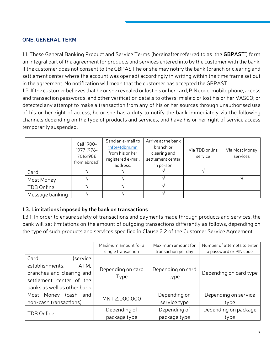#### **ONE. GENERAL TERM**

1.1. These General Banking Product and Service Terms (hereinafter referred to as 'the **GBPAST**') form an integral part of the agreement for products and services entered into by the customer with the bank. If the customer does not consent to the GBPAST he or she may notify the bank (branch or clearing and settlement center where the account was opened) accordingly in writing within the time frame set out in the agreement. No notification will mean that the customer has accepted the GBPAST.

1.2. If the customer believes that he or she revealed or lost his or her card, PIN code, mobile phone, access and transaction passwords, and other verification details to others; mislaid or lost his or her VASCO; or detected any attempt to make a transaction from any of his or her sources through unauthorised use of his or her right of access, he or she has a duty to notify the bank immediately via the following channels depending on the type of products and services, and have his or her right of service access temporarily suspended.

|                 | Call 1900-<br>1977 (976-<br>70161988<br>from abroad) | Send an e-mail to<br>info@tdbm.mn<br>from his or her<br>registered e-mail<br>address. | Arrive at the bank<br>branch or<br>clearing and<br>settlement center<br>in person | Via TDB online<br>service | Via Most Money<br>services |
|-----------------|------------------------------------------------------|---------------------------------------------------------------------------------------|-----------------------------------------------------------------------------------|---------------------------|----------------------------|
| Card            |                                                      |                                                                                       |                                                                                   |                           |                            |
| Most Money      |                                                      |                                                                                       |                                                                                   |                           |                            |
| TDB Online      |                                                      |                                                                                       |                                                                                   |                           |                            |
| Message banking |                                                      |                                                                                       |                                                                                   |                           |                            |

#### **1.3. Limitations imposed by the bank on transactions**

1.3.1. In order to ensure safety of transactions and payments made through products and services, the bank will set limitations on the amount of outgoing transactions differently as follows, depending on the type of such products and services specified in Clause 2.2 of the Customer Service Agreement.

|                                                                                                                                     | Maximum amount for a      | Maximum amount for           | Number of attempts to enter  |
|-------------------------------------------------------------------------------------------------------------------------------------|---------------------------|------------------------------|------------------------------|
|                                                                                                                                     | single transaction        | transaction per day          | a password or PIN code       |
| Card<br>(service<br>establishments;<br>ATM,<br>branches and clearing and<br>settlement center of the<br>banks as well as other bank | Depending on card<br>Type | Depending on card<br>type    | Depending on card type       |
| Most Money<br>(cash and<br>non-cash transactions)                                                                                   | MNT 2,000,000             | Depending on<br>service type | Depending on service<br>type |
| TDB Online                                                                                                                          | Depending of              | Depending of                 | Depending on package         |
|                                                                                                                                     | package type              | package type                 | type                         |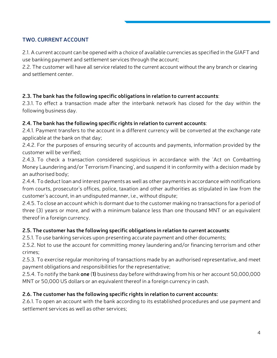# **TWO. CURRENT ACCOUNT**

2.1. A current account can be opened with a choice of available currencies as specified in the GIAFT and use banking payment and settlement services through the account;

2.2. The customer will have all service related to the current account without the any branch or clearing and settlement center.

# **2.3. The bank has the following specific obligations in relation to current accounts**:

2.3.1. To effect a transaction made after the interbank network has closed for the day within the following business day.

# **2.4. The bank has the following specific rights in relation to current accounts**:

2.4.1. Payment transfers to the account in a different currency will be converted at the exchange rate applicable at the bank on that day;

2.4.2. For the purposes of ensuring security of accounts and payments, information provided by the customer will be verified;

2.4.3. To check a transaction considered suspicious in accordance with the 'Act on Combatting Money Laundering and/or Terrorism Financing', and suspend it in conformity with a decision made by an authorised body;

2.4.4. To deduct loan and interest payments as well as other payments in accordance with notifications from courts, prosecutor's offices, police, taxation and other authorities as stipulated in law from the customer's account, in an undisputed manner, i.e., without dispute;

2.4.5. To close an account which is dormant due to the customer making no transactions for a period of three (3) years or more, and with a minimum balance less than one thousand MNT or an equivalent thereof in a foreign currency.

# **2.5. The customer has the following specific obligations in relation to current accounts**:

2.5.1. To use banking services upon presenting accurate payment and other documents;

2.5.2. Not to use the account for committing money laundering and/or financing terrorism and other crimes;

2.5.3. To exercise regular monitoring of transactions made by an authorised representative, and meet payment obligations and responsibilities for the representative;

2.5.4. To notify the bank **one** (**1)** business day before withdrawing from his or her account 50,000,000 MNT or 50,000 US dollars or an equivalent thereof in a foreign currency in cash.

# **2.6. The customer has the following specific rights in relation to current accounts:**

2.6.1. To open an account with the bank according to its established procedures and use payment and settlement services as well as other services;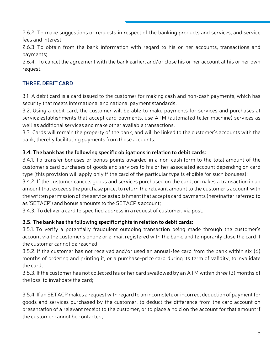2.6.2. To make suggestions or requests in respect of the banking products and services, and service fees and interest;

2.6.3. To obtain from the bank information with regard to his or her accounts, transactions and payments;

2.6.4. To cancel the agreement with the bank earlier, and/or close his or her account at his or her own request.

# **THREE. DEBIT CARD**

3.1. A debit card is a card issued to the customer for making cash and non-cash payments, which has security that meets international and national payment standards.

3.2. Using a debit card, the customer will be able to make payments for services and purchases at service establishments that accept card payments, use ATM (automated teller machine) services as well as additional services and make other available transactions.

3.3. Cards will remain the property of the bank, and will be linked to the customer's accounts with the bank, thereby facilitating payments from those accounts.

# **3.4. The bank has the following specific obligations in relation to debit cards:**

3.4.1. To transfer bonuses or bonus points awarded in a non-cash form to the total amount of the customer's card purchases of goods and services to his or her associated account depending on card type (this provision will apply only if the card of the particular type is eligible for such bonuses);

3.4.2. If the customer cancels goods and services purchased on the card, or makes a transaction in an amount that exceeds the purchase price, to return the relevant amount to the customer's account with the written permission of the service establishment that accepts card payments (hereinafter referred to as 'SETACP') and bonus amounts to the SETACP's account;

3.4.3. To deliver a card to specified address in a request of customer, via post.

# **3.5. The bank has the following specific rights in relation to debit cards:**

3.5.1. To verify a potentially fraudulent outgoing transaction being made through the customer's account via the customer's phone or e-mail registered with the bank, and temporarily close the card if the customer cannot be reached;

3.5.2. If the customer has not received and/or used an annual-fee card from the bank within six (6) months of ordering and printing it, or a purchase-price card during its term of validity, to invalidate the card;

3.5.3. If the customer has not collected his or her card swallowed by an ATM within three (3) months of the loss, to invalidate the card;

3.5.4. If an SETACP makes a request with regard to an incomplete or incorrect deduction of payment for goods and services purchased by the customer, to deduct the difference from the card account on presentation of a relevant receipt to the customer, or to place a hold on the account for that amount if the customer cannot be contacted;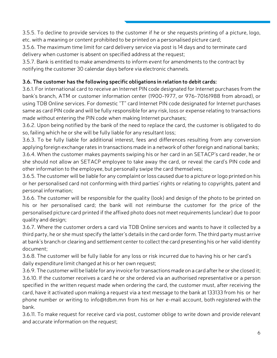3.5.5. To decline to provide services to the customer if he or she requests printing of a picture, logo, etc. with a meaning or content prohibited to be printed on a personalised picture card;

3.5.6. The maximum time limit for card delivery service via post is 14 days and to terminate card delivery when customer is absent on specified address at the request;

3.5.7. Bank is entitled to make amendments to inform event for amendments to the contract by notifying the customer 30 calendar days before via electronic channels.

# **3.6. The customer has the following specific obligations in relation to debit cards:**

3.6.1. For international card to receive an Internet PIN code designated for Internet purchases from the bank's branch, ATM or customer information center (1900-1977, or 976-70161988 from abroad), or using TDB Online services. For domestic "T" card Internet PIN code designated for Internet purchases same as card PIN code and will be fully responsible for any risk, loss or expense relating to transactions made without entering the PIN code when making Internet purchases;

3.6.2. Upon being notified by the bank of the need to replace the card, the customer is obligated to do so, failing which he or she will be fully liable for any resultant loss;

3.6.3. To be fully liable for additional interest, fees and differences resulting from any conversion applying foreign exchange rates in transactions made in a network of other foreign and national banks;

3.6.4. When the customer makes payments swiping his or her card in an SETACP's card reader, he or she should not allow an SETACP employee to take away the card, or reveal the card's PIN code and other information to the employee, but personally swipe the card themselves;

3.6.5. The customer will be liable for any complaint or loss caused due to a picture or logo printed on his or her personalised card not conforming with third parties' rights or relating to copyrights, patent and personal information;

3.6.6. The customer will be responsible for the quality (look) and design of the photo to be printed on his or her personalised card; the bank will not reimburse the customer for the price of the personalised picture card printed if the affixed photo does not meet requirements (unclear) due to poor quality and design;

3.6.7. Where the customer orders a card via TDB Online services and wants to have it collected by a third party, he or she must specify the latter's details in the card order form. The third party must arrive at bank's branch or clearing and settlement center to collect the card presenting his or her valid identity document;

3.6.8. The customer will be fully liable for any loss or risk incurred due to having his or her card's daily expenditure limit changed at his or her own request;

3.6.9. The customer will be liable for any invoice for transactions made on a card after he or she closed it; 3.6.10. If the customer receives a card he or she ordered via an authorised representative or a person specified in the written request made when ordering the card, the customer must, after receiving the card, have it activated upon making a request via a text message to the bank at 133133 from his or her phone number or writing to info@tdbm.mn from his or her e-mail account, both registered with the bank.

3.6.11. To make request for receive card via post, customer oblige to write down and provide relevant and accurate information on the request;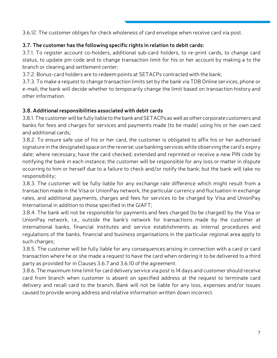3.6.12. The customer obliges for check wholeness of card envelope when receive card via post.

# **3.7. The customer has the following specific rights in relation to debit cards:**

3.7.1. To register account co-holders, additional sub-card holders, to re-print cards, to change card status, to update pin code and to change transaction limit for his or her account by making a to the branch or clearing and settlement center;

3.7.2. Bonus-card holders are to redeem points at SETACPs contracted with the bank;

3.7.3. To make a request to change transaction limits set by the bank via TDB Online services, phone or e-mail; the bank will decide whether to temporarily change the limit based on transaction history and other information.

# **3.8. Additional responsibilities associated with debit cards**

3.8.1. The customer will be fully liable to the bank and SETACPs as well as other corporate customers and banks for fees and charges for services and payments made (to be made) using his or her own card and additional cards;

3.8.2. To ensure safe use of his or her card, the customer is obligated to affix his or her authorised signature in the designated space on the reverse; use banking services while observing the card's expiry date; where necessary, have the card checked, extended and reprinted or receive a new PIN code by notifying the bank in each instance; the customer will be responsible for any loss or matter in dispute occurring to him or herself due to a failure to check and/or notify the bank; but the bank will take no responsibility;

3.8.3. The customer will be fully liable for any exchange rate difference which might result from a transaction made in the Visa or UnionPay network, the particular currency and fluctuation in exchange rates, and additional payments, charges and fees for services to be charged by Visa and UnionPay International in addition to those specified in the GIAFT;

3.8.4. The bank will not be responsible for payments and fees charged (to be charged) by the Visa or UnionPay network, i.e., outside the bank's network for transactions made by the customer at international banks, financial institutes and service establishments as internal procedures and regulations of the banks, financial and business organisations in the particular regional area apply to such charges;

3.8.5. The customer will be fully liable for any consequences arising in connection with a card or card transaction where he or she made a request to have the card when ordering it to be delivered to a third party as provided for in Clauses 3.6.7 and 3.6.10 of the agreement.

3.8.6. The maximum time limit for card delivery service via post is 14 days and customer should receive card from branch when customer is absent on specified address at the request to terminate card delivery and recall card to the branch, Bank will not be liable for any loss, expenses and/or issues caused to provide wrong address and relative information written down incorrect.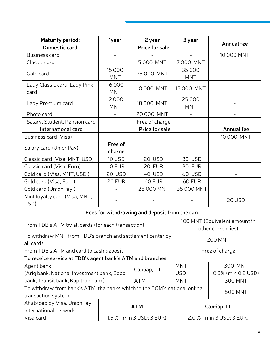| <b>Maturity period:</b>                                                                          | 1year                    | 2 year                                             | 3 year                   |                    |  |
|--------------------------------------------------------------------------------------------------|--------------------------|----------------------------------------------------|--------------------------|--------------------|--|
| Domestic card                                                                                    | <b>Price for sale</b>    |                                                    |                          | <b>Annual fee</b>  |  |
| <b>Business card</b>                                                                             | $\overline{\phantom{a}}$ |                                                    |                          | 10 000 MNT         |  |
| Classic card                                                                                     | $\overline{\phantom{a}}$ | 5000 MNT                                           | 7000 MNT                 |                    |  |
| Gold card                                                                                        | 15 0 0 0<br><b>MNT</b>   | 25 000 MNT                                         | 35 000<br><b>MNT</b>     |                    |  |
| Lady Classic card, Lady Pink<br>card                                                             | 6000<br><b>MNT</b>       | 10 000 MNT                                         | 15 000 MNT               |                    |  |
| Lady Premium card                                                                                | 12 0 0 0<br><b>MNT</b>   | 18 000 MNT                                         | 25 000<br><b>MNT</b>     |                    |  |
| Photo card                                                                                       |                          | 20 000 MNT                                         |                          |                    |  |
| Salary, Student, Pension card                                                                    |                          | Free of charge                                     |                          |                    |  |
| International card                                                                               |                          | <b>Price for sale</b>                              |                          | <b>Annual fee</b>  |  |
| Business card (Visa)                                                                             |                          |                                                    |                          | 10 000 MNT         |  |
| Salary card (UnionPay)                                                                           | Free of<br>charge        |                                                    |                          |                    |  |
| Classic card (Visa, MNT, USD)                                                                    | 10 USD                   | 20 USD                                             | 30 USD                   |                    |  |
| Classic card (Visa, Euro)                                                                        | <b>10 EUR</b>            | 20 EUR                                             | 30 EUR                   |                    |  |
| Gold card (Visa, MNT, USD)                                                                       | 20 USD                   | 40 USD                                             | 60 USD                   |                    |  |
| Gold card (Visa, Euro)                                                                           | 20 EUR                   | 40 EUR                                             | 60 EUR                   |                    |  |
| Gold card (UnionPay)                                                                             |                          | 25 000 MNT                                         | 35 000 MNT               |                    |  |
| Mint loyalty card (Visa, MNT,<br>USD)                                                            |                          |                                                    |                          | 20 USD             |  |
| Fees for withdrawing and deposit from the card                                                   |                          |                                                    |                          |                    |  |
| From TDB's ATM by all cards (for each transaction)                                               |                          | 100 MNT (Equivalent amount in<br>other currencies) |                          |                    |  |
| To withdraw MNT from TDB's branch and settlement center by<br>all cards.                         |                          |                                                    | <b>200 MNT</b>           |                    |  |
| From TDB's ATM and card to cash deposit                                                          |                          | Free of charge                                     |                          |                    |  |
| To receice service at TDB's agent bank's ATM and branches:                                       |                          |                                                    |                          |                    |  |
| Agent bank                                                                                       |                          |                                                    | <b>MNT</b>               | 300 MNT            |  |
| (Arig bank, National investment bank, Bogd                                                       |                          | Салбар, TT                                         | <b>USD</b>               | 0.3% (min 0.2 USD) |  |
| bank, Transit bank, Kapitron bank)                                                               |                          | <b>ATM</b>                                         | <b>MNT</b>               | <b>300 MNT</b>     |  |
| To withdraw from bank's ATM, the banks which in the BOM's national online<br>transaction system. |                          |                                                    | <b>500 MNT</b>           |                    |  |
| At abroad by Visa, UnionPay<br>international network                                             | <b>ATM</b>               |                                                    | Салбар, TT               |                    |  |
| Visa card                                                                                        | 1.5 % (min 3 USD; 3 EUR) |                                                    | 2.0 % (min 3 USD; 3 EUR) |                    |  |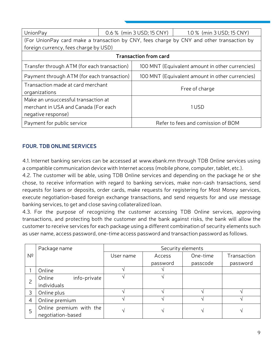| UnionPay                                                                                          |  | 0.6 % (min 3 USD; 15 CNY)                       | 1.0 % (min 3 USD; 15 CNY)                                                                 |  |
|---------------------------------------------------------------------------------------------------|--|-------------------------------------------------|-------------------------------------------------------------------------------------------|--|
|                                                                                                   |  |                                                 | (For UnionPay card make a transaction by CNY, fees charge by CNY and other transaction by |  |
| foreign currency, fees charge by USD)                                                             |  |                                                 |                                                                                           |  |
| <b>Transaction from card</b>                                                                      |  |                                                 |                                                                                           |  |
| Transfer through ATM (for each transaction)                                                       |  | 100 MNT (Equivalent amount in other currencies) |                                                                                           |  |
| Payment through ATM (for each transaction)                                                        |  | 100 MNT (Equivalent amount in other currencies) |                                                                                           |  |
| Transaction made at card merchant<br>organizations                                                |  |                                                 | Free of charge                                                                            |  |
| Make an unsuccessful transaction at<br>merchant in USA and Canada (For each<br>negative response) |  | 1 USD                                           |                                                                                           |  |
| Payment for public service                                                                        |  |                                                 | Refer to fees and comission of BOM                                                        |  |

# **FOUR. TDB ONLINE SERVICES**

4.1. Internet banking services can be accessed at www.ebank.mn through TDB Online services using a compatible communication device with Internet access (mobile phone, computer, tablet, etc.).

4.2. The customer will be able, using TDB Online services and depending on the package he or she chose, to receive information with regard to banking services, make non-cash transactions, send requests for loans or deposits, order cards, make requests for registering for Most Money services, execute negotiation-based foreign exchange transactions, and send requests for and use message banking services, to get and close saving collateralized loan.

4.3. For the purpose of recognizing the customer accessing TDB Online services, approving transactions, and protecting both the customer and the bank against risks, the bank will allow the customer to receive services for each package using a different combination of security elements such as user name, access password, one-time access password and transaction password as follows.

|                | Package name            | Security elements |          |          |             |
|----------------|-------------------------|-------------------|----------|----------|-------------|
| Nº             |                         | User name         | Access   | One-time | Transaction |
|                |                         |                   | password | passcode | password    |
|                | Online                  |                   |          |          |             |
|                | Online<br>info-private  |                   |          |          |             |
|                | individuals             |                   |          |          |             |
| 3              | Online plus             |                   |          |          |             |
| $\overline{4}$ | Online premium          |                   |          |          |             |
| 5              | Online premium with the |                   |          |          |             |
|                | negotiation-based       |                   |          |          |             |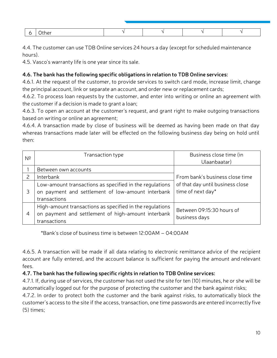| 10 <sup>2</sup> |  |  |
|-----------------|--|--|

4.4. The customer can use TDB Online services 24 hours a day (except for scheduled maintenance hours).

4.5. Vasco's warranty life is one year since its sale.

#### **4.6. The bank has the following specific obligations in relation to TDB Online services:**

4.6.1. At the request of the customer, to provide services to switch card mode, increase limit, change the principal account, link or separate an account, and order new or replacement cards;

4.6.2. To process loan requests by the customer, and enter into writing or online an agreement with the customer if a decision is made to grant a loan;

4.6.3. To open an account at the customer's request, and grant right to make outgoing transactions based on writing or online an agreement;

4.6.4. A transaction made by close of business will be deemed as having been made on that day whereas transactions made later will be effected on the following business day being on hold until then:

| N <sup>2</sup> | Transaction type                                                                                                               | Business close time (in<br>Ulaanbaatar)               |
|----------------|--------------------------------------------------------------------------------------------------------------------------------|-------------------------------------------------------|
|                | Between own accounts                                                                                                           |                                                       |
|                | Interbank                                                                                                                      | From bank's business close time                       |
|                | Low-amount transactions as specified in the regulations<br>on payment and settlement of low-amount interbank<br>transactions   | of that day until business close<br>time of next day* |
| 4              | High-amount transactions as specified in the regulations<br>on payment and settlement of high-amount interbank<br>transactions | Between 09:15:30 hours of<br>business days            |

\*Bank's close of business time is between 12:00AM – 04:00AM

4.6.5. A transaction will be made if all data relating to electronic remittance advice of the recipient account are fully entered, and the account balance is sufficient for paying the amount and relevant fees.

# **4.7. The bank has the following specific rights in relation to TDB Online services:**

4.7.1. If, during use of services, the customer has not used the site for ten (10) minutes, he or she will be automatically logged out for the purpose of protecting the customer and the bank against risks;

4.7.2. In order to protect both the customer and the bank against risks, to automatically block the customer's access to the site if the access, transaction, one time passwords are entered incorrectly five (5) times;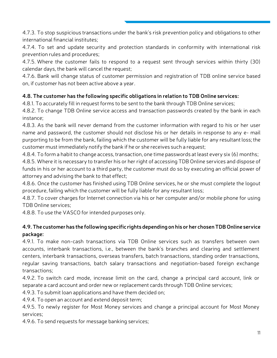4.7.3. To stop suspicious transactions under the bank's risk prevention policy and obligations to other international financial institutes;

4.7.4. To set and update security and protection standards in conformity with international risk prevention rules and procedures;

4.7.5. Where the customer fails to respond to a request sent through services within thirty (30) calendar days, the bank will cancel the request;

4.7.6. Bank will change status of customer permission and registration of TDB online service based on, if customer has not been active above a year.

# **4.8. The customer has the following specific obligations in relation to TDB Online services:**

4.8.1. To accurately fill in request forms to be sent to the bank through TDB Online services;

4.8.2. To change TDB Online service access and transaction passwords created by the bank in each instance;

4.8.3. As the bank will never demand from the customer information with regard to his or her user name and password, the customer should not disclose his or her details in response to any e- mail purporting to be from the bank, failing which the customer will be fully liable for any resultant loss; the customer must immediately notify the bank if he or she receives such a request;

4.8.4. To form a habit to change access, transaction, one time passwords at least every six (6) months;

4.8.5. Where it is necessary to transfer his or her right of accessing TDB Online services and dispose of funds in his or her account to a third party, the customer must do so by executing an official power of attorney and advising the bank to that effect;

4.8.6. Once the customer has finished using TDB Online services, he or she must complete the logout procedure, failing which the customer will be fully liable for any resultant loss;

4.8.7. To cover charges for Internet connection via his or her computer and/or mobile phone for using TDB Online services;

4.8.8. To use the VASCO for intended purposes only.

# **4.9. The customer has the following specific rights depending on his or her chosen TDB Online service package:**

4.9.1. To make non-cash transactions via TDB Online services such as transfers between own accounts, interbank transactions, i.e., between the bank's branches and clearing and settlement centers, interbank transactions, overseas transfers, batch transactions, standing order transactions, regular saving transactions, batch salary transactions and negotiation-based foreign exchange transactions;

4.9.2. To switch card mode, increase limit on the card, change a principal card account, link or separate a card account and order new or replacement cards through TDB Online services;

4.9.3. To submit loan applications and have them decided on;

4.9.4. To open an account and extend deposit term;

4.9.5. To newly register for Most Money services and change a principal account for Most Money services;

4.9.6. To send requests for message banking services;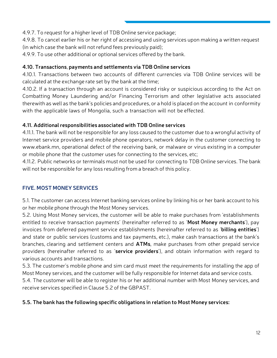4.9.7. To request for a higher level of TDB Online service package;

4.9.8. To cancel earlier his or her right of accessing and using services upon making a written request (in which case the bank will not refund fees previously paid);

4.9.9. To use other additional or optional services offered by the bank.

# **4.10. Transactions**, **payments and settlements via TDB Online services**

4.10.1. Transactions between two accounts of different currencies via TDB Online services will be calculated at the exchange rate set by the bank at the time;

4.10.2. If a transaction through an account is considered risky or suspicious according to the Act on Combatting Money Laundering and/or Financing Terrorism and other legislative acts associated therewith as well as the bank's policies and procedures, or a hold is placed on the account in conformity with the applicable laws of Mongolia, such a transaction will not be effected.

# **4.11. Additional responsibilities associated with TDB Online services**

4.11.1. The bank will not be responsible for any loss caused to the customer due to a wrongful activity of Internet service providers and mobile phone operators, network delay in the customer connecting to www.ebank.mn, operational defect of the receiving bank, or malware or virus existing in a computer or mobile phone that the customer uses for connecting to the services, etc;

4.11.2. Public networks or terminals must not be used for connecting to TDB Online services. The bank will not be responsible for any loss resulting from a breach of this policy.

# **FIVE. MOST MONEY SERVICES**

5.1. The customer can access Internet banking services online by linking his or her bank account to his or her mobile phone through the Most Money services.

5.2. Using Most Money services, the customer will be able to make purchases from 'establishments entitled to receive transaction payments' (hereinafter referred to as '**Most Money merchants**'), pay invoices from deferred payment service establishments (hereinafter referred to as '**billing entities**') and state or public services (customs and tax payments, etc.), make cash transactions at the bank's branches, clearing and settlement centers and **ATMs**, make purchases from other prepaid service providers (hereinafter referred to as '**service providers**'), and obtain information with regard to various accounts and transactions.

5.3. The customer's mobile phone and sim card must meet the requirements for installing the app of Most Money services, and the customer will be fully responsible for Internet data and service costs.

5.4. The customer will be able to register his or her additional number with Most Money services, and receive services specified in Clause 5.2 of the GBPAST.

# **5.5. The bank has the following specific obligations in relation to Most Money services:**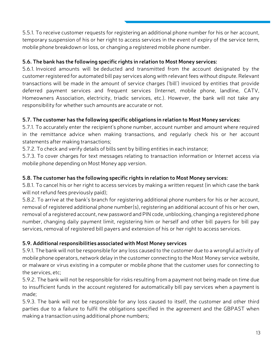5.5.1. To receive customer requests for registering an additional phone number for his or her account, temporary suspension of his or her right to access services in the event of expiry of the service term, mobile phone breakdown or loss, or changing a registered mobile phone number.

# **5.6. The bank has the following specific rights in relation to Most Money services:**

5.6.1. Invoiced amounts will be deducted and transmitted from the account designated by the customer registered for automated bill pay services along with relevant fees without dispute. Relevant transactions will be made in the amount of service charges ('bill') invoiced by entities that provide deferred payment services and frequent services (Internet, mobile phone, landline, CATV, Homeowners Association, electricity, triadic services, etc.). However, the bank will not take any responsibility for whether such amounts are accurate or not.

# **5.7. The customer has the following specific obligations in relation to Most Money services:**

5.7.1. To accurately enter the recipient's phone number, account number and amount where required in the remittance advice when making transactions, and regularly check his or her account statements after making transactions;

5.7.2. To check and verify details of bills sent by billing entities in each instance;

5.7.3. To cover charges for text messages relating to transaction information or Internet access via mobile phone depending on Most Money app version.

# **5.8. The customer has the following specific rights in relation to Most Money services:**

5.8.1. To cancel his or her right to access services by making a written request (in which case the bank will not refund fees previously paid);

5.8.2. To arrive at the bank's branch for registering additional phone numbers for his or her account, removal of registered additional phone number(s), registering an additional account of his or her own, removal of a registered account, new password and PIN code, unblocking, changing a registered phone number, changing daily payment limit, registering him or herself and other bill payers for bill pay services, removal of registered bill payers and extension of his or her right to access services.

# **5.9. Additional responsibilities associated with Most Money services**

5.9.1. The bank will not be responsible for any loss caused to the customer due to a wrongful activity of mobile phone operators, network delay in the customer connecting to the Most Money service website, or malware or virus existing in a computer or mobile phone that the customer uses for connecting to the services, etc;

5.9.2. The bank will not be responsible for risks resulting from a payment not being made on time due to insufficient funds in the account registered for automatically bill pay services when a payment is made;

5.9.3. The bank will not be responsible for any loss caused to itself, the customer and other third parties due to a failure to fulfil the obligations specified in the agreement and the GBPAST when making a transaction using additional phone numbers;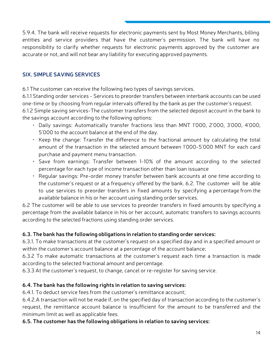5.9.4. The bank will receive requests for electronic payments sent by Most Money Merchants, billing entities and service providers that have the customer's permission. The bank will have no responsibility to clarify whether requests for electronic payments approved by the customer are accurate or not, and will not bear any liability for executing approved payments.

# **SIX. SIMPLE SAVING SERVICES**

6.1 The customer can receive the following two types of savings services.

6.1.1 Standing order services - Services to preorder transfers between interbank accounts can be used one-time or by choosing from regular intervals offered by the bank as per the customer's request.

6.1.2 Simple saving services-The customer transfers from the selected deposit account in the bank to the savings account according to the following options:

- Daily savings: Automatically transfer fractions less than MNT 1'000, 2'000, 3'000, 4'000, 5'000 to the account balance at the end of the day.
- Keep the change: Transfer the difference to the fractional amount by calculating the total amount of the transaction in the selected amount between 1'000-5'000 MNT for each card purchase and payment menu transaction.
- Save from earnings: Transfer between 1-10% of the amount according to the selected percentage for each type of income transaction other than loan issuance
- Regular savings: Pre-order money transfer between bank accounts at one time according to the customer's request or at a frequency offered by the bank. 6.2. The customer will be able to use services to preorder transfers in fixed amounts by specifying a percentage from the available balance in his or her account using standing order services.

6.2 The customer will be able to use services to preorder transfers in fixed amounts by specifying a percentage from the available balance in his or her account, automatic transfers to savings accounts according to the selected fractions using standing order services.

# **6.3. The bank has the following obligations in relation to standing order services:**

6.3.1. To make transactions at the customer's request on a specified day and in a specified amount or within the customer's account balance at a percentage of the account balance;

6.3.2 To make automatic transactions at the customer's request each time a transaction is made according to the selected fractional amount and percentage.

6.3.3 At the customer's request, to change, cancel or re-register for saving service.

# **6.4. The bank has the following rights in relation to saving services:**

6.4.1. To deduct service fees from the customer's remittance account;

6.4.2.A transaction will not be made if, on the specified day of transaction according to the customer's request, the remittance account balance is insufficient for the amount to be transferred and the minimum limit as well as applicable fees.

# **6.5. The customer has the following obligations in relation to saving services:**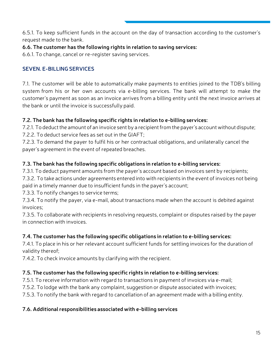6.5.1. To keep sufficient funds in the account on the day of transaction according to the customer's request made to the bank.

# **6.6. The customer has the following rights in relation to saving services:**

6.6.1. To change, cancel or re-register saving services.

# **SEVEN. E-BILLING SERVICES**

7.1. The customer will be able to automatically make payments to entities joined to the TDB's billing system from his or her own accounts via e-billing services. The bank will attempt to make the customer's payment as soon as an invoice arrives from a billing entity until the next invoice arrives at the bank or until the invoice is successfully paid.

# **7.2. The bank has the following specific rights in relation to e-billing services:**

7.2.1. To deduct the amount of an invoice sent by a recipient from the payer's account without dispute;

7.2.2. To deduct service fees as set out in the GIAFT;

7.2.3. To demand the payer to fulfil his or her contractual obligations, and unilaterally cancel the payer's agreement in the event of repeated breaches.

# **7.3. The bank has the following specific obligations in relation to e-billing services:**

7.3.1. To deduct payment amounts from the payer's account based on invoices sent by recipients;

7.3.2. To take actions under agreements entered into with recipients in the event of invoices not being paid in a timely manner due to insufficient funds in the payer's account;

7.3.3. To notify changes to service terms;

7.3.4. To notify the payer, via e-mail, about transactions made when the account is debited against invoices;

7.3.5. To collaborate with recipients in resolving requests, complaint or disputes raised by the payer in connection with invoices.

# **7.4. The customer has the following specific obligations in relation to e-billing services:**

7.4.1. To place in his or her relevant account sufficient funds for settling invoices for the duration of validity thereof;

7.4.2. To check invoice amounts by clarifying with the recipient.

# **7.5. The customer has the following specific rights in relation to e-billing services:**

7.5.1. To receive information with regard to transactions in payment of invoices via e-mail;

7.5.2. To lodge with the bank any complaint, suggestion or dispute associated with invoices;

7.5.3. To notify the bank with regard to cancellation of an agreement made with a billing entity.

# **7.6. Additional responsibilities associated with e-billing services**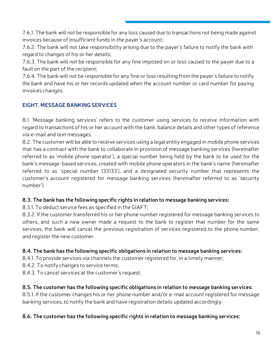7.6.1. The bank will not be responsible for any loss caused due to transactions not being made against invoices because of insufficient funds in the payer's account;

7.6.2. The bank will not take responsibility arising due to the payer's failure to notify the bank with regard to changes of his or her details;

7.6.3. The bank will not be responsible for any fine imposed on or loss caused to the payer due to a fault on the part of the recipient;

7.6.4. The bank will not be responsible for any fine or loss resulting from the payer's failure to notify the bank and have his or her records updated when the account number or card number for paying invoices changes.

# **EIGHT. MESSAGE BANKING SERVICES**

8.1. 'Message banking services' refers to the customer using services to receive information with regard to transactions of his or her account with the bank, balance details and other types of reference via e-mail and text messages.

8.2. The customer will be able to receive services using a legal entity engaged in mobile phone services that has a contract with the bank to collaborate in provision of message banking services (hereinafter referred to as 'mobile phone operator'), a special number being held by the bank to be used for the bank's message-based services, created with mobile phone operators in the bank's name (hereinafter referred to as 'special number 133133'), and a designated security number that represents the customer's account registered for message banking services (hereinafter referred to as 'security number').

# **8.3. The bank has the following specific rights in relation to message banking services:**

8.3.1. To deduct service fees as specified in the GIAFT;

8.3.2. If the customer transferred his or her phone number registered for message banking services to others, and such a new owner made a request to the bank to register that number for the same services, the bank will cancel the previous registration of services registered to the phone number, and register the new customer.

# **8.4. The bank has the following specific obligations in relation to message banking services:**

8.4.1. To provide services via channels the customer registered for, in a timely manner;

- 8.4.2. To notify changes to service terms;
- 8.4.3. To cancel services at the customer's request.

# **8.5. The customer has the following specific obligations in relation to message banking services:**

8.5.1. If the customer changes his or her phone number and/or e-mail account registered for message banking services, to notify the bank and have registration details updated accordingly.

# **8.6. The customer has the following specific rights in relation to message banking services:**